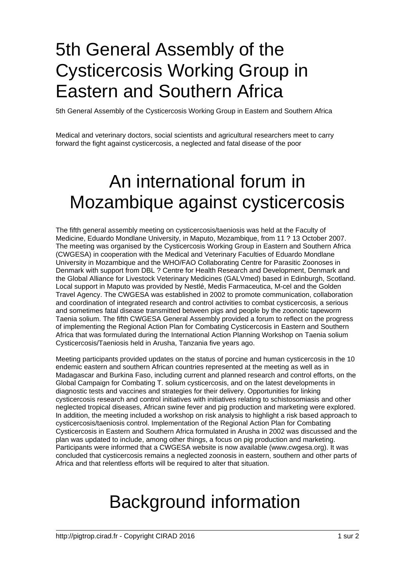## 5th General Assembly of the Cysticercosis Working Group in Eastern and Southern Africa

5th General Assembly of the Cysticercosis Working Group in Eastern and Southern Africa

Medical and veterinary doctors, social scientists and agricultural researchers meet to carry forward the fight against cysticercosis, a neglected and fatal disease of the poor

## An international forum in Mozambique against cysticercosis

The fifth general assembly meeting on cysticercosis/taeniosis was held at the Faculty of Medicine, Eduardo Mondlane University, in Maputo, Mozambique, from 11 ? 13 October 2007. The meeting was organised by the Cysticercosis Working Group in Eastern and Southern Africa (CWGESA) in cooperation with the Medical and Veterinary Faculties of Eduardo Mondlane University in Mozambique and the WHO/FAO Collaborating Centre for Parasitic Zoonoses in Denmark with support from DBL ? Centre for Health Research and Development, Denmark and the Global Alliance for Livestock Veterinary Medicines (GALVmed) based in Edinburgh, Scotland. Local support in Maputo was provided by Nestlé, Medis Farmaceutica, M-cel and the Golden Travel Agency. The CWGESA was established in 2002 to promote communication, collaboration and coordination of integrated research and control activities to combat cysticercosis, a serious and sometimes fatal disease transmitted between pigs and people by the zoonotic tapeworm Taenia solium. The fifth CWGESA General Assembly provided a forum to reflect on the progress of implementing the Regional Action Plan for Combating Cysticercosis in Eastern and Southern Africa that was formulated during the International Action Planning Workshop on Taenia solium Cysticercosis/Taeniosis held in Arusha, Tanzania five years ago.

Meeting participants provided updates on the status of porcine and human cysticercosis in the 10 endemic eastern and southern African countries represented at the meeting as well as in Madagascar and Burkina Faso, including current and planned research and control efforts, on the Global Campaign for Combating T. solium cysticercosis, and on the latest developments in diagnostic tests and vaccines and strategies for their delivery. Opportunities for linking cysticercosis research and control initiatives with initiatives relating to schistosomiasis and other neglected tropical diseases, African swine fever and pig production and marketing were explored. In addition, the meeting included a workshop on risk analysis to highlight a risk based approach to cysticercosis/taeniosis control. Implementation of the Regional Action Plan for Combating Cysticercosis in Eastern and Southern Africa formulated in Arusha in 2002 was discussed and the plan was updated to include, among other things, a focus on pig production and marketing. Participants were informed that a CWGESA website is now available (www.cwgesa.org). It was concluded that cysticercosis remains a neglected zoonosis in eastern, southern and other parts of Africa and that relentless efforts will be required to alter that situation.

## Background information